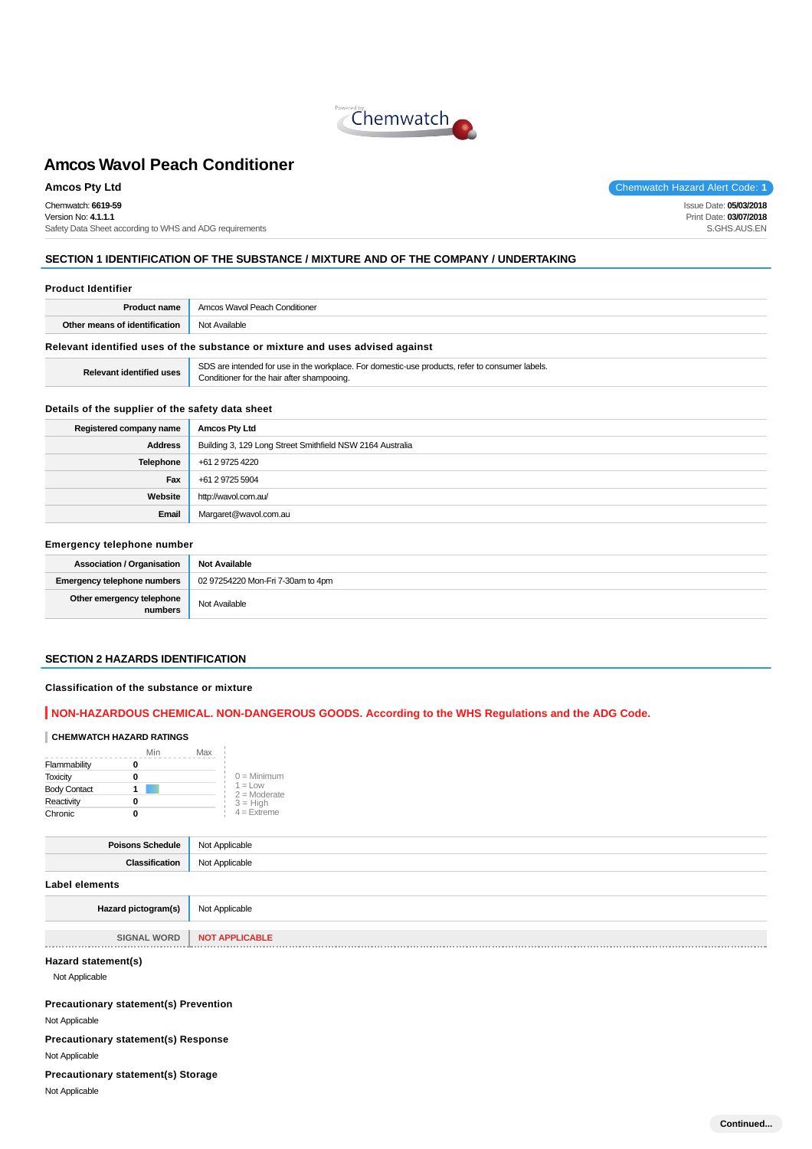

Chemwatch: **6619-59**

Version No: **4.1.1.1** Safety Data Sheet according to WHS and ADG requirements

**Amcos Pty Ltd** Chemwatch Hazard Alert Code: **1** 

Issue Date: **05/03/2018** Print Date: **03/07/2018** S.GHS.AUS.EN

## **SECTION 1 IDENTIFICATION OF THE SUBSTANCE / MIXTURE AND OF THE COMPANY / UNDERTAKING**

#### **Product Identifier**

| <b>Product name</b>                                                           | Amcos Wavol Peach Conditioner |
|-------------------------------------------------------------------------------|-------------------------------|
| Other means of identification                                                 | Not Available                 |
| Relevant identified uses of the substance or mixture and uses advised against |                               |

| <b>Relevant identified uses</b> |  |
|---------------------------------|--|
|                                 |  |

**SDS** are intended for use in the workplace. For domestic-use products, refer to consumer labels. **Conditioner for the hair after shampooing.** 

### **Details of the supplier of the safety data sheet**

| Registered company name | <b>Amcos Pty Ltd</b>                                      |
|-------------------------|-----------------------------------------------------------|
| Address                 | Building 3, 129 Long Street Smithfield NSW 2164 Australia |
| <b>Telephone</b>        | +61 2 9725 4220                                           |
| Fax                     | +61 2 9725 5904                                           |
| Website                 | http://wavol.com.au/                                      |
| Email                   | Margaret@wavol.com.au                                     |

### **Emergency telephone number**

| Association / Organisation           | Not Available                     |
|--------------------------------------|-----------------------------------|
| Emergency telephone numbers          | 02 97254220 Mon-Fri 7-30am to 4pm |
| Other emergency telephone<br>numbers | Not Available                     |

#### **SECTION 2 HAZARDS IDENTIFICATION**

#### **Classification of the substance or mixture**

### **NON-HAZARDOUS CHEMICAL. NON-DANGEROUS GOODS. According to the WHS Regulations and the ADG Code.**

### **CHEMWATCH HAZARD RATINGS**

|                     | Min | Max |                              |
|---------------------|-----|-----|------------------------------|
| Flammability        |     |     |                              |
| <b>Toxicity</b>     |     |     | $0 =$ Minimum                |
| <b>Body Contact</b> |     |     | $1 = 1$ OW<br>$2 =$ Moderate |
| Reactivity          |     |     | $3 = High$                   |
| Chronic             |     |     | $4 =$ Extreme                |

| Poisons Schedule      | Not Applicable |
|-----------------------|----------------|
| <b>Classification</b> | Not Applicable |
| Label elements        |                |
| Hazard pictogram(s)   | Not Applicable |

| <b>WORD</b><br>SIGNAL | <b>NOT</b> |
|-----------------------|------------|
|                       |            |

### **Hazard statement(s)**

Not Applicable

**Precautionary statement(s) Prevention**

Not Applicable

**Precautionary statement(s) Response** Not Applicable

#### **Precautionary statement(s) Storage**

Not Applicable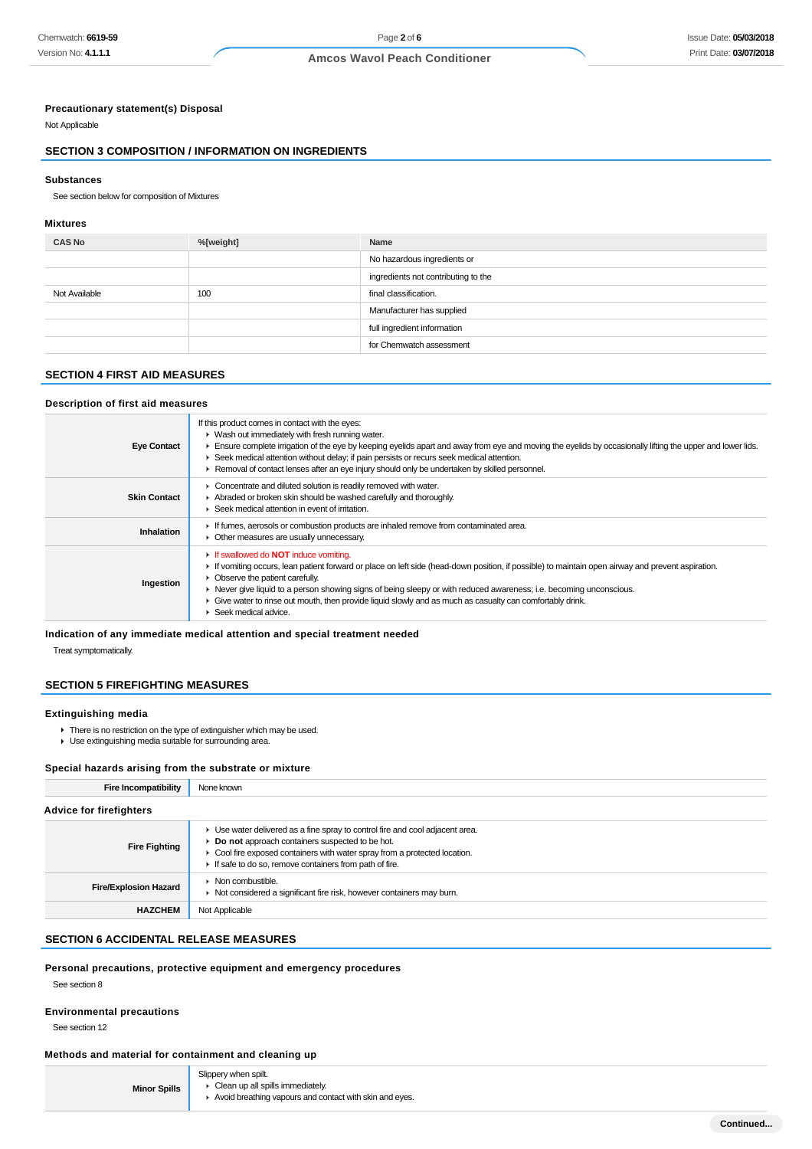### **Precautionary statement(s) Disposal**

Not Applicable

### **SECTION 3 COMPOSITION / INFORMATION ON INGREDIENTS**

#### **Substances**

See section below for composition of Mixtures

#### **Mixtures**

| <b>CAS No</b> | %[weight] | Name                                |
|---------------|-----------|-------------------------------------|
|               |           | No hazardous ingredients or         |
|               |           | ingredients not contributing to the |
| Not Available | 100       | final classification.               |
|               |           | Manufacturer has supplied           |
|               |           | full ingredient information         |
|               |           | for Chemwatch assessment            |

### **SECTION 4 FIRST AID MEASURES**

#### **Description of first aid measures**

| <b>Eye Contact</b>  | If this product comes in contact with the eyes:<br>• Wash out immediately with fresh running water.<br>Ensure complete irrigation of the eye by keeping eyelids apart and away from eye and moving the eyelids by occasionally lifting the upper and lower lids.<br>► Seek medical attention without delay; if pain persists or recurs seek medical attention.<br>Removal of contact lenses after an eye injury should only be undertaken by skilled personnel.                                                      |
|---------------------|----------------------------------------------------------------------------------------------------------------------------------------------------------------------------------------------------------------------------------------------------------------------------------------------------------------------------------------------------------------------------------------------------------------------------------------------------------------------------------------------------------------------|
| <b>Skin Contact</b> | Concentrate and diluted solution is readily removed with water.<br>Abraded or broken skin should be washed carefully and thoroughly.<br>▶ Seek medical attention in event of irritation.                                                                                                                                                                                                                                                                                                                             |
| Inhalation          | If fumes, aerosols or combustion products are inhaled remove from contaminated area.<br>• Other measures are usually unnecessary.                                                                                                                                                                                                                                                                                                                                                                                    |
| Ingestion           | If swallowed do <b>NOT</b> induce vomiting.<br>If vomiting occurs, lean patient forward or place on left side (head-down position, if possible) to maintain open airway and prevent aspiration.<br>• Observe the patient carefully.<br>► Never give liquid to a person showing signs of being sleepy or with reduced awareness; i.e. becoming unconscious.<br>Give water to rinse out mouth, then provide liquid slowly and as much as casualty can comfortably drink.<br>$\blacktriangleright$ Seek medical advice. |

### **Indication of any immediate medical attention and special treatment needed**

Treat symptomatically.

### **SECTION 5 FIREFIGHTING MEASURES**

### **Extinguishing media**

▶ There is no restriction on the type of extinguisher which may be used. Use extinguishing media suitable for surrounding area.

### **Special hazards arising from the substrate or mixture**

| <b>Fire Incompatibility</b>    | None known                                                                                                                                                                                                                                                               |
|--------------------------------|--------------------------------------------------------------------------------------------------------------------------------------------------------------------------------------------------------------------------------------------------------------------------|
| <b>Advice for firefighters</b> |                                                                                                                                                                                                                                                                          |
| <b>Fire Fighting</b>           | • Use water delivered as a fine spray to control fire and cool adjacent area.<br>Do not approach containers suspected to be hot.<br>• Cool fire exposed containers with water spray from a protected location.<br>If safe to do so, remove containers from path of fire. |
| <b>Fire/Explosion Hazard</b>   | $\triangleright$ Non combustible.<br>• Not considered a significant fire risk, however containers may burn.                                                                                                                                                              |
| <b>HAZCHEM</b>                 | Not Applicable                                                                                                                                                                                                                                                           |

### **SECTION 6 ACCIDENTAL RELEASE MEASURES**

#### **Personal precautions, protective equipment and emergency procedures**

See section 8

### **Environmental precautions**

See section 12

### **Methods and material for containment and cleaning up**

|                     | Slippery when spilt.                                    |  |
|---------------------|---------------------------------------------------------|--|
| <b>Minor Spills</b> | $\triangleright$ Clean up all spills immediately.       |  |
|                     | Avoid breathing vapours and contact with skin and eyes. |  |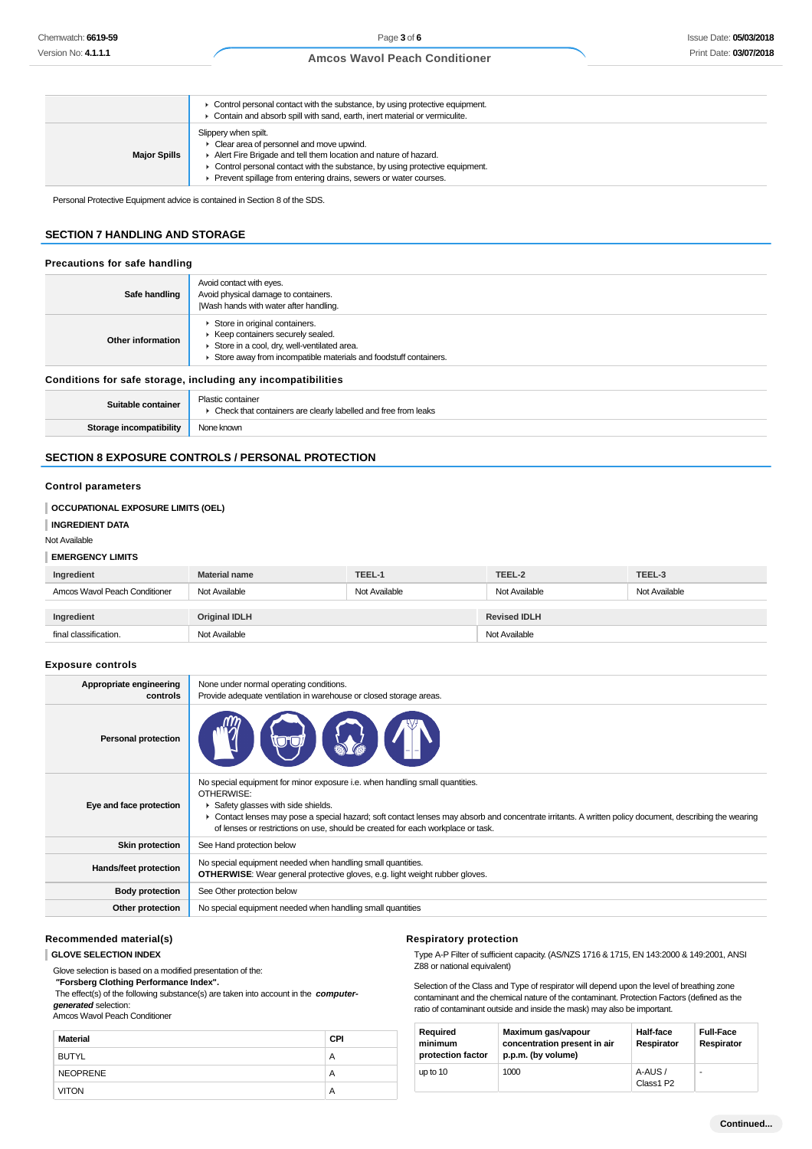|                     | Control personal contact with the substance, by using protective equipment.<br>Contain and absorb spill with sand, earth, inert material or vermiculite.                                                                                                                                  |
|---------------------|-------------------------------------------------------------------------------------------------------------------------------------------------------------------------------------------------------------------------------------------------------------------------------------------|
| <b>Major Spills</b> | Slippery when spilt.<br>• Clear area of personnel and move upwind.<br>Alert Fire Brigade and tell them location and nature of hazard.<br>• Control personal contact with the substance, by using protective equipment.<br>Prevent spillage from entering drains, sewers or water courses. |

Personal Protective Equipment advice is contained in Section 8 of the SDS.

### **SECTION 7 HANDLING AND STORAGE**

#### **Precautions for safe handling**

| Safe handling                                                | Avoid contact with eyes.<br>Avoid physical damage to containers.<br>Wash hands with water after handling.                                                                              |  |
|--------------------------------------------------------------|----------------------------------------------------------------------------------------------------------------------------------------------------------------------------------------|--|
| Other information                                            | Store in original containers.<br>▶ Keep containers securely sealed.<br>Store in a cool, dry, well-ventilated area.<br>Store away from incompatible materials and foodstuff containers. |  |
| Conditions for safe storage, including any incompatibilities |                                                                                                                                                                                        |  |
| Suitable container                                           | Plastic container<br>• Check that containers are clearly labelled and free from leaks                                                                                                  |  |
| Storage incompatibility                                      | None known                                                                                                                                                                             |  |

### **SECTION 8 EXPOSURE CONTROLS / PERSONAL PROTECTION**

#### **Control parameters**

|  | <b>OCCUPATIONAL EXPOSURE LIMITS (OEL)</b> |  |
|--|-------------------------------------------|--|
|--|-------------------------------------------|--|

**INGREDIENT DATA**

Not Available

#### **EMERGENCY LIMITS**

| Ingredient                    | <b>Material name</b> | TEEL-1        | TEEL-2              | TEEL-3        |
|-------------------------------|----------------------|---------------|---------------------|---------------|
| Amcos Wavol Peach Conditioner | Not Available        | Not Available | Not Available       | Not Available |
|                               |                      |               |                     |               |
| Ingredient                    | Original IDLH        |               | <b>Revised IDLH</b> |               |
| final classification.         | Not Available        |               | Not Available       |               |

#### **Exposure controls**

| Appropriate engineering<br>controls | None under normal operating conditions.<br>Provide adequate ventilation in warehouse or closed storage areas.                                                                                                                                                                                                                                                                 |
|-------------------------------------|-------------------------------------------------------------------------------------------------------------------------------------------------------------------------------------------------------------------------------------------------------------------------------------------------------------------------------------------------------------------------------|
| <b>Personal protection</b>          |                                                                                                                                                                                                                                                                                                                                                                               |
| Eye and face protection             | No special equipment for minor exposure i.e. when handling small quantities.<br>OTHERWISE:<br>Safety glasses with side shields.<br>▶ Contact lenses may pose a special hazard; soft contact lenses may absorb and concentrate irritants. A written policy document, describing the wearing<br>of lenses or restrictions on use, should be created for each workplace or task. |
| <b>Skin protection</b>              | See Hand protection below                                                                                                                                                                                                                                                                                                                                                     |
| Hands/feet protection               | No special equipment needed when handling small quantities.<br><b>OTHERWISE:</b> Wear general protective gloves, e.g. light weight rubber gloves.                                                                                                                                                                                                                             |
| <b>Body protection</b>              | See Other protection below                                                                                                                                                                                                                                                                                                                                                    |
| Other protection                    | No special equipment needed when handling small quantities                                                                                                                                                                                                                                                                                                                    |

### **Recommended material(s)**

**GLOVE SELECTION INDEX**

Glove selection is based on a modified presentation of the:

 **"Forsberg Clothing Performance Index".**

The effect(s) of the following substance(s) are taken into account in the **computergenerated** selection:

#### Amcos Wavol Peach Conditioner

| <b>Material</b> | <b>CPI</b> |
|-----------------|------------|
| <b>BUTYL</b>    | Α          |
| <b>NEOPRENE</b> | Α          |
| <b>VITON</b>    | Α          |

#### **Respiratory protection**

Type A-P Filter of sufficient capacity. (AS/NZS 1716 & 1715, EN 143:2000 & 149:2001, ANSI Z88 or national equivalent)

Selection of the Class and Type of respirator will depend upon the level of breathing zone contaminant and the chemical nature of the contaminant. Protection Factors (defined as the ratio of contaminant outside and inside the mask) may also be important.

| Required<br>minimum<br>protection factor | Maximum gas/vapour<br>concentration present in air<br>p.p.m. (by volume) | Half-face<br>Respirator | <b>Full-Face</b><br>Respirator |
|------------------------------------------|--------------------------------------------------------------------------|-------------------------|--------------------------------|
| up to 10                                 | 1000                                                                     | A-AUS/<br>Class1 P2     | ۰                              |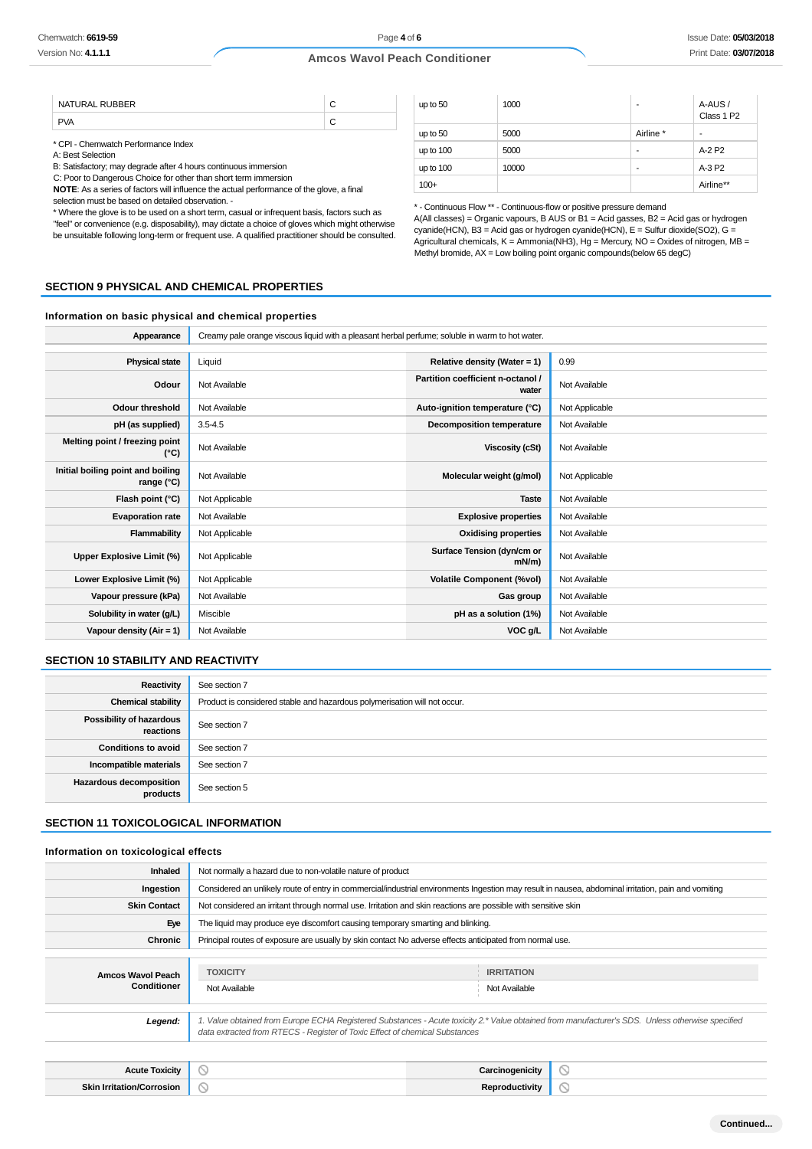| <b>DURRED</b><br><b>NATURA</b> |  |
|--------------------------------|--|
|                                |  |

\* CPI - Chemwatch Performance Index

A: Best Selection

B: Satisfactory; may degrade after 4 hours continuous immersion

C: Poor to Dangerous Choice for other than short term immersion

**NOTE**: As a series of factors will influence the actual performance of the glove, a final selection must be based on detailed observation. -

\* Where the glove is to be used on a short term, casual or infrequent basis, factors such as

"feel" or convenience (e.g. disposability), may dictate a choice of gloves which might otherwise be unsuitable following long-term or frequent use. A qualified practitioner should be consulted.

| up to 50  | 1000  | ۰         | A-AUS /<br>Class 1 P2 |
|-----------|-------|-----------|-----------------------|
| up to 50  | 5000  | Airline * | $\blacksquare$        |
| up to 100 | 5000  | ۰         | A-2 P <sub>2</sub>    |
| up to 100 | 10000 | ۰         | A-3 P2                |
| $100+$    |       |           | Airline**             |

\* - Continuous Flow \*\* - Continuous-flow or positive pressure demand

A(All classes) = Organic vapours, B AUS or B1 = Acid gasses, B2 = Acid gas or hydrogen cyanide(HCN), B3 = Acid gas or hydrogen cyanide(HCN), E = Sulfur dioxide(SO2), G = Agricultural chemicals, K = Ammonia(NH3), Hg = Mercury, NO = Oxides of nitrogen, MB = Methyl bromide, AX = Low boiling point organic compounds(below 65 degC)

#### **SECTION 9 PHYSICAL AND CHEMICAL PROPERTIES**

#### **Information on basic physical and chemical properties**

| Appearance                                      | Creamy pale orange viscous liquid with a pleasant herbal perfume; soluble in warm to hot water. |                                            |                |
|-------------------------------------------------|-------------------------------------------------------------------------------------------------|--------------------------------------------|----------------|
|                                                 |                                                                                                 |                                            |                |
| <b>Physical state</b>                           | Liquid                                                                                          | Relative density (Water = $1$ )            | 0.99           |
| Odour                                           | Not Available                                                                                   | Partition coefficient n-octanol /<br>water | Not Available  |
| <b>Odour threshold</b>                          | Not Available                                                                                   | Auto-ignition temperature (°C)             | Not Applicable |
| pH (as supplied)                                | $3.5 - 4.5$                                                                                     | <b>Decomposition temperature</b>           | Not Available  |
| Melting point / freezing point<br>(°C)          | Not Available                                                                                   | Viscosity (cSt)                            | Not Available  |
| Initial boiling point and boiling<br>range (°C) | Not Available                                                                                   | Molecular weight (g/mol)                   | Not Applicable |
| Flash point (°C)                                | Not Applicable                                                                                  | <b>Taste</b>                               | Not Available  |
| <b>Evaporation rate</b>                         | Not Available                                                                                   | <b>Explosive properties</b>                | Not Available  |
| Flammability                                    | Not Applicable                                                                                  | <b>Oxidising properties</b>                | Not Available  |
| Upper Explosive Limit (%)                       | Not Applicable                                                                                  | Surface Tension (dyn/cm or<br>$mN/m$ )     | Not Available  |
| Lower Explosive Limit (%)                       | Not Applicable                                                                                  | <b>Volatile Component (%vol)</b>           | Not Available  |
| Vapour pressure (kPa)                           | Not Available                                                                                   | Gas group                                  | Not Available  |
| Solubility in water (g/L)                       | Miscible                                                                                        | pH as a solution (1%)                      | Not Available  |
| Vapour density (Air = 1)                        | Not Available                                                                                   | VOC g/L                                    | Not Available  |

#### **SECTION 10 STABILITY AND REACTIVITY**

| Reactivity                                 | See section 7                                                             |
|--------------------------------------------|---------------------------------------------------------------------------|
| <b>Chemical stability</b>                  | Product is considered stable and hazardous polymerisation will not occur. |
| Possibility of hazardous<br>reactions      | See section 7                                                             |
| <b>Conditions to avoid</b>                 | See section 7                                                             |
| Incompatible materials                     | See section 7                                                             |
| <b>Hazardous decomposition</b><br>products | See section 5                                                             |

#### **SECTION 11 TOXICOLOGICAL INFORMATION**

#### **Information on toxicological effects**

| <b>Inhaled</b>      | Not normally a hazard due to non-volatile nature of product                                                                                                                                                                     |                   |  |
|---------------------|---------------------------------------------------------------------------------------------------------------------------------------------------------------------------------------------------------------------------------|-------------------|--|
| Ingestion           | Considered an unlikely route of entry in commercial/industrial environments Ingestion may result in nausea, abdominal irritation, pain and vomiting                                                                             |                   |  |
| <b>Skin Contact</b> | Not considered an irritant through normal use. Irritation and skin reactions are possible with sensitive skin                                                                                                                   |                   |  |
| Eye                 | The liquid may produce eye discomfort causing temporary smarting and blinking.                                                                                                                                                  |                   |  |
| Chronic             | Principal routes of exposure are usually by skin contact No adverse effects anticipated from normal use.                                                                                                                        |                   |  |
|                     |                                                                                                                                                                                                                                 |                   |  |
| Amcos Wavol Peach   | <b>TOXICITY</b>                                                                                                                                                                                                                 | <b>IRRITATION</b> |  |
| Conditioner         | Not Available                                                                                                                                                                                                                   | Not Available     |  |
|                     |                                                                                                                                                                                                                                 |                   |  |
| Legend:             | 1. Value obtained from Europe ECHA Registered Substances - Acute toxicity 2.* Value obtained from manufacturer's SDS. Unless otherwise specified<br>data extracted from RTECS - Register of Toxic Effect of chemical Substances |                   |  |
|                     |                                                                                                                                                                                                                                 |                   |  |

| <b>Acute Toxicity</b>            | w      | Carcinogenicity | ∽      |
|----------------------------------|--------|-----------------|--------|
| <b>Skin Irritation/Corrosion</b> | $\sim$ | Reproductivitv  | $\sim$ |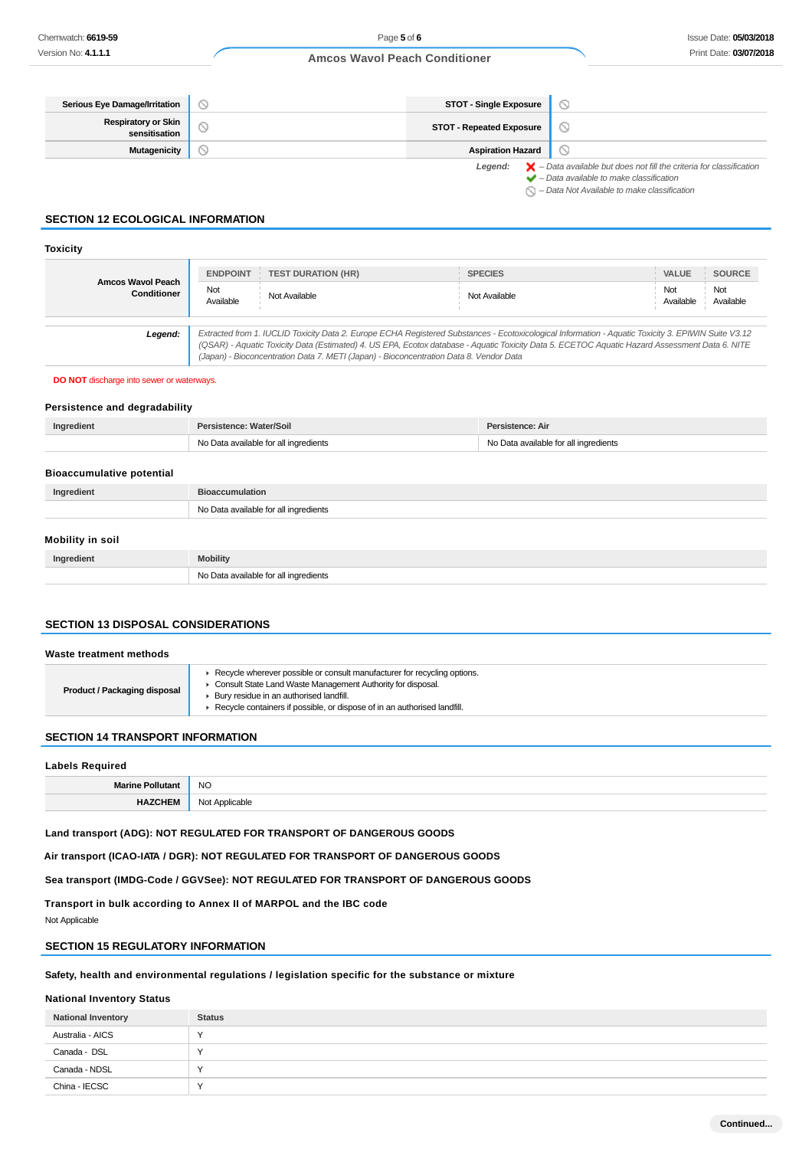| Serious Eye Damage/Irritation               | N | <b>STOT - Single Exposure</b>   |                                                                                                                                                                                                                     |
|---------------------------------------------|---|---------------------------------|---------------------------------------------------------------------------------------------------------------------------------------------------------------------------------------------------------------------|
| <b>Respiratory or Skin</b><br>sensitisation |   | <b>STOT - Repeated Exposure</b> |                                                                                                                                                                                                                     |
| <b>Mutagenicity</b>                         |   | <b>Aspiration Hazard</b>        |                                                                                                                                                                                                                     |
|                                             |   | Legend:                         | $\blacktriangleright$ - Data available but does not fill the criteria for classification<br>$\blacktriangleright$ - Data available to make classification<br>$\bigcirc$ - Data Not Available to make classification |

### **SECTION 12 ECOLOGICAL INFORMATION**

#### **Toxicity**

|                                  | <b>ENDPOINT</b>  | <b>TEST DURATION (HR)</b>                                                                                                                                                                                                                                                                                                                                                                       | <b>SPECIES</b> | VALUE<br><b>SOURCE</b>               |
|----------------------------------|------------------|-------------------------------------------------------------------------------------------------------------------------------------------------------------------------------------------------------------------------------------------------------------------------------------------------------------------------------------------------------------------------------------------------|----------------|--------------------------------------|
| Amcos Wavol Peach<br>Conditioner | Not<br>Available | Not Available                                                                                                                                                                                                                                                                                                                                                                                   | Not Available  | Not<br>Not<br>Available<br>Available |
| Legend:                          |                  | Extracted from 1. IUCLID Toxicity Data 2. Europe ECHA Registered Substances - Ecotoxicological Information - Aquatic Toxicity 3. EPIWIN Suite V3.12<br>(QSAR) - Aquatic Toxicity Data (Estimated) 4. US EPA, Ecotox database - Aquatic Toxicity Data 5. ECETOC Aquatic Hazard Assessment Data 6. NITE<br>(Japan) - Bioconcentration Data 7. METI (Japan) - Bioconcentration Data 8. Vendor Data |                |                                      |

**DO NOT** discharge into sewer or waterways.

#### **Persistence and degradability**

| Ingredient | Persistence: Water/Soil               | Persistence: Air                      |
|------------|---------------------------------------|---------------------------------------|
|            | No Data available for all ingredients | No Data available for all ingredients |
|            |                                       |                                       |

#### **Bioaccumulative potential**

| Ingredient              | <b>Bioaccumulation</b>                |
|-------------------------|---------------------------------------|
|                         | No Data available for all ingredients |
| <b>Mobility in soil</b> |                                       |

# **Ingredient Mobility** No Data available for all ingredients

### **SECTION 13 DISPOSAL CONSIDERATIONS**

#### **Waste treatment methods**

| <b>Product / Packaging disposal</b> | Recycle wherever possible or consult manufacturer for recycling options.<br>Consult State Land Waste Management Authority for disposal.<br>▶ Bury residue in an authorised landfill.<br>Recycle containers if possible, or dispose of in an authorised landfill. |
|-------------------------------------|------------------------------------------------------------------------------------------------------------------------------------------------------------------------------------------------------------------------------------------------------------------|
|-------------------------------------|------------------------------------------------------------------------------------------------------------------------------------------------------------------------------------------------------------------------------------------------------------------|

#### **SECTION 14 TRANSPORT INFORMATION**

### **Labels Required**

| <b>NO</b><br>__ |
|-----------------|
| nni<br>.        |

**Land transport (ADG): NOT REGULATED FOR TRANSPORT OF DANGEROUS GOODS**

**Air transport (ICAO-IATA / DGR): NOT REGULATED FOR TRANSPORT OF DANGEROUS GOODS**

**Sea transport (IMDG-Code / GGVSee): NOT REGULATED FOR TRANSPORT OF DANGEROUS GOODS**

**Transport in bulk according to Annex II of MARPOL and the IBC code**

Not Applicable

### **SECTION 15 REGULATORY INFORMATION**

### **Safety, health and environmental regulations / legislation specific for the substance or mixture**

### **National Inventory Status**

| <b>National Inventory</b> | <b>Status</b> |
|---------------------------|---------------|
| Australia - AICS          |               |
| Canada - DSL              |               |
| Canada - NDSL             |               |
| China - IECSC             |               |